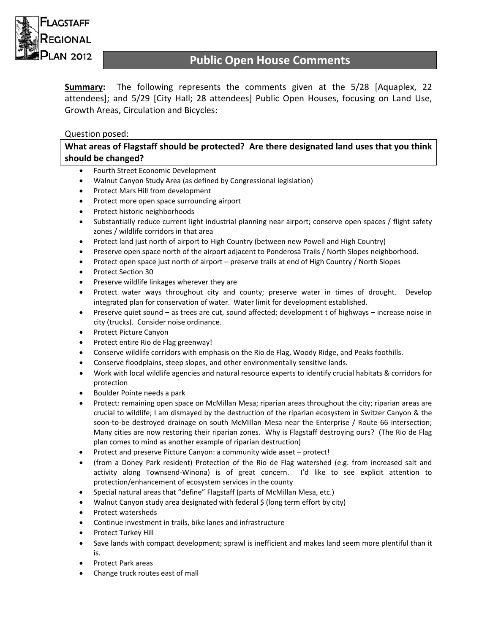

# **Public Open House Comments**

**Summary:** The following represents the comments given at the 5/28 [Aquaplex, 22 attendees]; and 5/29 [City Hall; 28 attendees] Public Open Houses, focusing on Land Use, Growth Areas, Circulation and Bicycles:

# Question posed:

**What areas of Flagstaff should be protected? Are there designated land uses that you think should be changed?**

- Fourth Street Economic Development
- Walnut Canyon Study Area (as defined by Congressional legislation)
- Protect Mars Hill from development
- Protect more open space surrounding airport
- Protect historic neighborhoods
- Substantially reduce current light industrial planning near airport; conserve open spaces / flight safety zones / wildlife corridors in that area
- Protect land just north of airport to High Country (between new Powell and High Country)
- Preserve open space north of the airport adjacent to Ponderosa Trails / North Slopes neighborhood.
- Protect open space just north of airport preserve trails at end of High Country / North Slopes
- Protect Section 30
- Preserve wildlife linkages wherever they are
- Protect water ways throughout city and county; preserve water in times of drought. Develop integrated plan for conservation of water. Water limit for development established.
- Preserve quiet sound as trees are cut, sound affected; development t of highways increase noise in city (trucks). Consider noise ordinance.
- Protect Picture Canyon
- Protect entire Rio de Flag greenway!
- Conserve wildlife corridors with emphasis on the Rio de Flag, Woody Ridge, and Peaks foothills.
- Conserve floodplains, steep slopes, and other environmentally sensitive lands.
- Work with local wildlife agencies and natural resource experts to identify crucial habitats & corridors for protection
- Boulder Pointe needs a park
- Protect: remaining open space on McMillan Mesa; riparian areas throughout the city; riparian areas are crucial to wildlife; I am dismayed by the destruction of the riparian ecosystem in Switzer Canyon & the soon-to-be destroyed drainage on south McMillan Mesa near the Enterprise / Route 66 intersection; Many cities are now restoring their riparian zones. Why is Flagstaff destroying ours? (The Rio de Flag plan comes to mind as another example of riparian destruction)
- Protect and preserve Picture Canyon: a community wide asset protect!
- (from a Doney Park resident) Protection of the Rio de Flag watershed (e.g. from increased salt and activity along Townsend‐Winona) is of great concern. I'd like to see explicit attention to protection/enhancement of ecosystem services in the county
- Special natural areas that "define" Flagstaff (parts of McMillan Mesa, etc.)
- Walnut Canyon study area designated with federal \$ (long term effort by city)
- Protect watersheds
- Continue investment in trails, bike lanes and infrastructure
- Protect Turkey Hill
- Save lands with compact development; sprawl is inefficient and makes land seem more plentiful than it is.
- Protect Park areas
- Change truck routes east of mall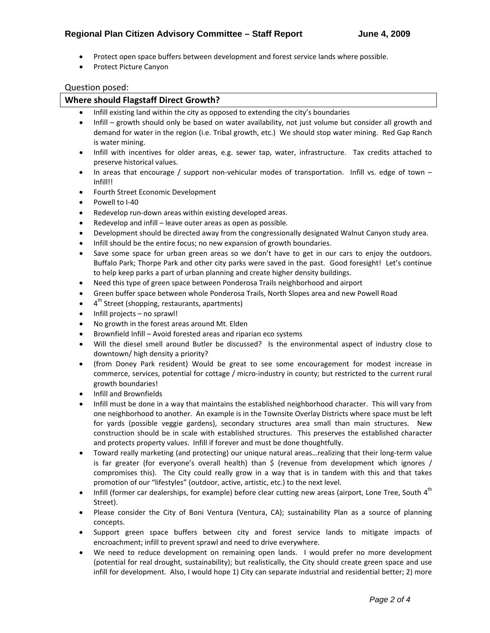- Protect open space buffers between development and forest service lands where possible.
- Protect Picture Canyon

## Question posed:

## **Where should Flagstaff Direct Growth?**

- Infill existing land within the city as opposed to extending the city's boundaries
- Infill growth should only be based on water availability, not just volume but consider all growth and demand for water in the region (i.e. Tribal growth, etc.) We should stop water mining. Red Gap Ranch is water mining.
- Infill with incentives for older areas, e.g. sewer tap, water, infrastructure. Tax credits attached to preserve historical values.
- In areas that encourage / support non-vehicular modes of transportation. Infill vs. edge of town  $-$ Infill!!
- Fourth Street Economic Development
- Powell to I‐40
- Redevelop run‐down areas within existing developed areas.
- Redevelop and infill leave outer areas as open as possible.
- Development should be directed away from the congressionally designated Walnut Canyon study area.
- Infill should be the entire focus; no new expansion of growth boundaries.
- Save some space for urban green areas so we don't have to get in our cars to enjoy the outdoors. Buffalo Park; Thorpe Park and other city parks were saved in the past. Good foresight! Let's continue to help keep parks a part of urban planning and create higher density buildings.
- Need this type of green space between Ponderosa Trails neighborhood and airport
- Green buffer space between whole Ponderosa Trails, North Slopes area and new Powell Road
- 4<sup>th</sup> Street (shopping, restaurants, apartments)
- Infill projects no sprawl!
- No growth in the forest areas around Mt. Elden
- Brownfield Infill Avoid forested areas and riparian eco systems
- Will the diesel smell around Butler be discussed? Is the environmental aspect of industry close to downtown/ high density a priority?
- (from Doney Park resident) Would be great to see some encouragement for modest increase in commerce, services, potential for cottage / micro-industry in county; but restricted to the current rural growth boundaries!
- Infill and Brownfields
- Infill must be done in a way that maintains the established neighborhood character. This will vary from one neighborhood to another. An example is in the Townsite Overlay Districts where space must be left for yards (possible veggie gardens), secondary structures area small than main structures. New construction should be in scale with established structures. This preserves the established character and protects property values. Infill if forever and must be done thoughtfully.
- Toward really marketing (and protecting) our unique natural areas…realizing that their long‐term value is far greater (for everyone's overall health) than  $\zeta$  (revenue from development which ignores / compromises this). The City could really grow in a way that is in tandem with this and that takes promotion of our "lifestyles" (outdoor, active, artistic, etc.) to the next level.
- $\bullet$  Infill (former car dealerships, for example) before clear cutting new areas (airport, Lone Tree, South 4<sup>th</sup> Street).
- Please consider the City of Boni Ventura (Ventura, CA); sustainability Plan as a source of planning concepts.
- Support green space buffers between city and forest service lands to mitigate impacts of encroachment; infill to prevent sprawl and need to drive everywhere.
- We need to reduce development on remaining open lands. I would prefer no more development (potential for real drought, sustainability); but realistically, the City should create green space and use infill for development. Also, I would hope 1) City can separate industrial and residential better; 2) more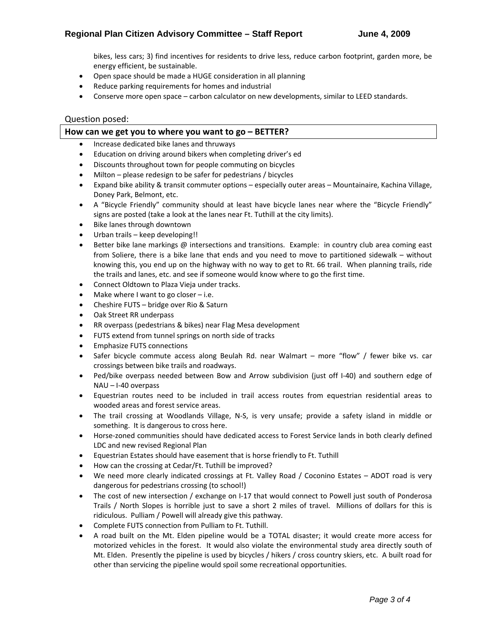bikes, less cars; 3) find incentives for residents to drive less, reduce carbon footprint, garden more, be energy efficient, be sustainable.

- Open space should be made a HUGE consideration in all planning
- Reduce parking requirements for homes and industrial
- Conserve more open space carbon calculator on new developments, similar to LEED standards.

#### Question posed:

#### **How can we get you to where you want to go – BETTER?**

- Increase dedicated bike lanes and thruways
- Education on driving around bikers when completing driver's ed
- Discounts throughout town for people commuting on bicycles
- Milton please redesign to be safer for pedestrians / bicycles
- Expand bike ability & transit commuter options especially outer areas Mountainaire, Kachina Village, Doney Park, Belmont, etc.
- A "Bicycle Friendly" community should at least have bicycle lanes near where the "Bicycle Friendly" signs are posted (take a look at the lanes near Ft. Tuthill at the city limits).
- Bike lanes through downtown
- Urban trails keep developing!!
- Better bike lane markings @ intersections and transitions. Example: in country club area coming east from Soliere, there is a bike lane that ends and you need to move to partitioned sidewalk – without knowing this, you end up on the highway with no way to get to Rt. 66 trail. When planning trails, ride the trails and lanes, etc. and see if someone would know where to go the first time.
- Connect Oldtown to Plaza Vieja under tracks.
- Make where I want to go closer  $-$  i.e.
- Cheshire FUTS bridge over Rio & Saturn
- Oak Street RR underpass
- RR overpass (pedestrians & bikes) near Flag Mesa development
- FUTS extend from tunnel springs on north side of tracks
- Emphasize FUTS connections
- Safer bicycle commute access along Beulah Rd. near Walmart more "flow" / fewer bike vs. car crossings between bike trails and roadways.
- Ped/bike overpass needed between Bow and Arrow subdivision (just off I‐40) and southern edge of NAU – I‐40 overpass
- Equestrian routes need to be included in trail access routes from equestrian residential areas to wooded areas and forest service areas.
- The trail crossing at Woodlands Village, N‐S, is very unsafe; provide a safety island in middle or something. It is dangerous to cross here.
- Horse-zoned communities should have dedicated access to Forest Service lands in both clearly defined LDC and new revised Regional Plan
- Equestrian Estates should have easement that is horse friendly to Ft. Tuthill
- How can the crossing at Cedar/Ft. Tuthill be improved?
- We need more clearly indicated crossings at Ft. Valley Road / Coconino Estates ADOT road is very dangerous for pedestrians crossing (to school!)
- The cost of new intersection / exchange on I-17 that would connect to Powell just south of Ponderosa Trails / North Slopes is horrible just to save a short 2 miles of travel. Millions of dollars for this is ridiculous. Pulliam / Powell will already give this pathway.
- Complete FUTS connection from Pulliam to Ft. Tuthill.
- A road built on the Mt. Elden pipeline would be a TOTAL disaster; it would create more access for motorized vehicles in the forest. It would also violate the environmental study area directly south of Mt. Elden. Presently the pipeline is used by bicycles / hikers / cross country skiers, etc. A built road for other than servicing the pipeline would spoil some recreational opportunities.